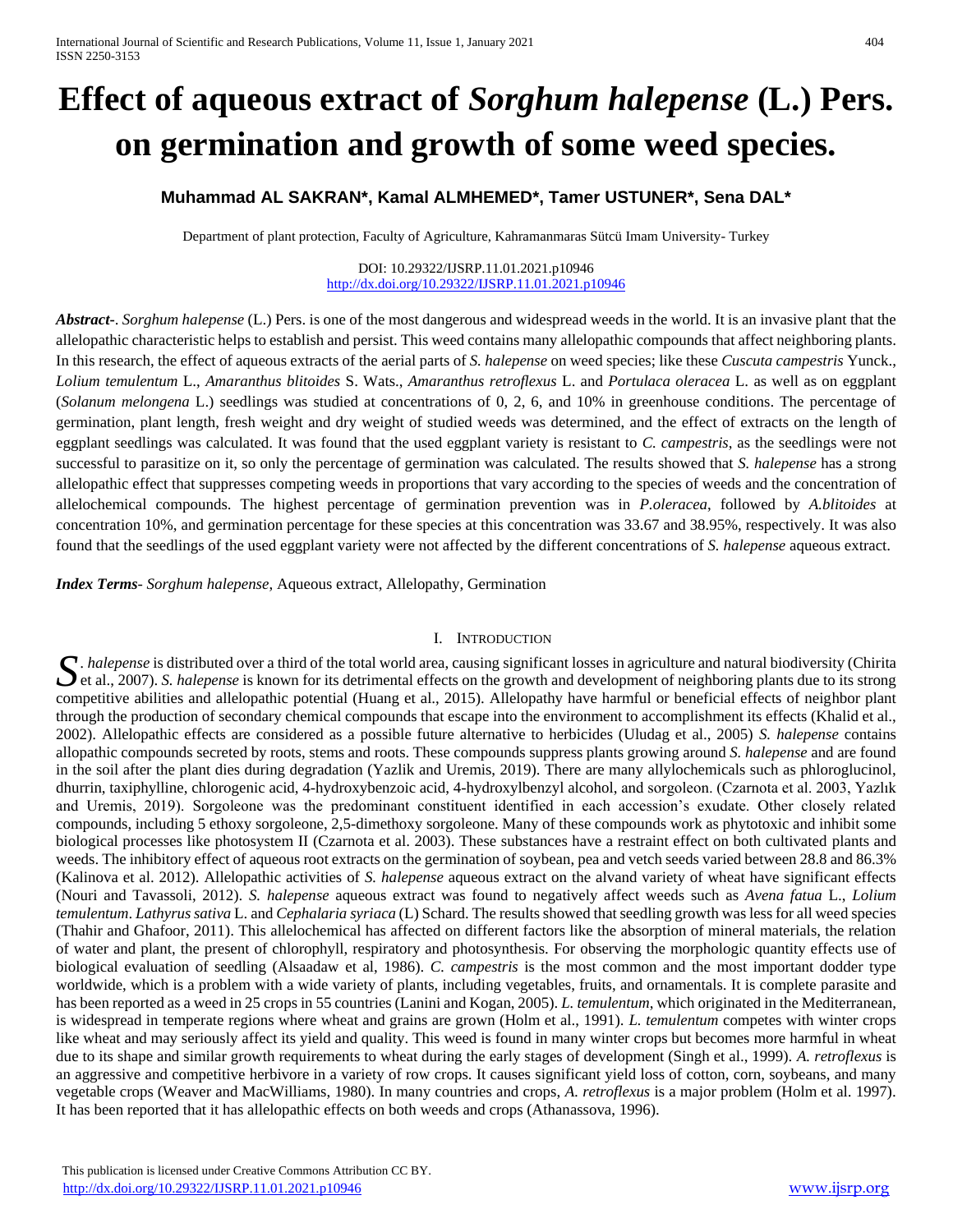# **Effect of aqueous extract of** *Sorghum halepense* **(L.) Pers. on germination and growth of some weed species.**

## **Muhammad AL SAKRAN\*, Kamal ALMHEMED\*, Tamer USTUNER\*, Sena DAL\***

Department of plant protection, Faculty of Agriculture, Kahramanmaras Sütcü Imam University- Turkey

#### DOI: 10.29322/IJSRP.11.01.2021.p10946 <http://dx.doi.org/10.29322/IJSRP.11.01.2021.p10946>

*Abstract***-**. *Sorghum halepense* (L.) Pers. is one of the most dangerous and widespread weeds in the world. It is an invasive plant that the allelopathic characteristic helps to establish and persist. This weed contains many allelopathic compounds that affect neighboring plants. In this research, the effect of aqueous extracts of the aerial parts of *S. halepense* on weed species; like these *Cuscuta campestris* Yunck., *Lolium temulentum* L., *Amaranthus blitoides* S. Wats., *Amaranthus retroflexus* L. and *Portulaca oleracea* L. as well as on eggplant (*Solanum melongena* L.) seedlings was studied at concentrations of 0, 2, 6, and 10% in greenhouse conditions. The percentage of germination, plant length, fresh weight and dry weight of studied weeds was determined, and the effect of extracts on the length of eggplant seedlings was calculated. It was found that the used eggplant variety is resistant to *C. campestris*, as the seedlings were not successful to parasitize on it, so only the percentage of germination was calculated. The results showed that *S. halepense* has a strong allelopathic effect that suppresses competing weeds in proportions that vary according to the species of weeds and the concentration of allelochemical compounds. The highest percentage of germination prevention was in *P.oleracea*, followed by *A.blitoides* at concentration 10%, and germination percentage for these species at this concentration was 33.67 and 38.95%, respectively. It was also found that the seedlings of the used eggplant variety were not affected by the different concentrations of *S. halepense* aqueous extract.

*Index Terms*- *Sorghum halepense*, Aqueous extract, Allelopathy, Germination

## I. INTRODUCTION

*. halepense* is distributed over a third of the total world area, causing significant losses in agriculture and natural biodiversity (Chirita  $\sum$ . *halepense* is distributed over a third of the total world area, causing significant losses in agriculture and natural biodiversity (Chirita et al., 2007). *S. halepense* is known for its detrimental effects on the g competitive abilities and allelopathic potential (Huang et al., 2015). Allelopathy have harmful or beneficial effects of neighbor plant through the production of secondary chemical compounds that escape into the environment to accomplishment its effects (Khalid et al., 2002). Allelopathic effects are considered as a possible future alternative to herbicides (Uludag et al., 2005) *S. halepense* contains allopathic compounds secreted by roots, stems and roots. These compounds suppress plants growing around *S. halepense* and are found in the soil after the plant dies during degradation (Yazlik and Uremis, 2019). There are many allylochemicals such as phloroglucinol, dhurrin, taxiphylline, chlorogenic acid, 4-hydroxybenzoic acid, 4-hydroxylbenzyl alcohol, and sorgoleon. (Czarnota et al. 2003, Yazlık and Uremis, 2019). Sorgoleone was the predominant constituent identified in each accession's exudate. Other closely related compounds, including 5 ethoxy sorgoleone, 2,5-dimethoxy sorgoleone. Many of these compounds work as phytotoxic and inhibit some biological processes like photosystem II (Czarnota et al. 2003). These substances have a restraint effect on both cultivated plants and weeds. The inhibitory effect of aqueous root extracts on the germination of soybean, pea and vetch seeds varied between 28.8 and 86.3% (Kalinova et al. 2012). Allelopathic activities of *S. halepense* aqueous extract on the alvand variety of wheat have significant effects (Nouri and Tavassoli, 2012). *S. halepense* aqueous extract was found to negatively affect weeds such as *Avena fatua* L., *Lolium temulentum*. *Lathyrus sativa* L. and *Cephalaria syriaca* (L) Schard. The results showed that seedling growth was less for all weed species (Thahir and Ghafoor, 2011). This allelochemical has affected on different factors like the absorption of mineral materials, the relation of water and plant, the present of chlorophyll, respiratory and photosynthesis. For observing the morphologic quantity effects use of biological evaluation of seedling (Alsaadaw et al, 1986). *C. campestris* is the most common and the most important dodder type worldwide, which is a problem with a wide variety of plants, including vegetables, fruits, and ornamentals. It is complete parasite and has been reported as a weed in 25 crops in 55 countries (Lanini and Kogan, 2005). *L. temulentum*, which originated in the Mediterranean, is widespread in temperate regions where wheat and grains are grown (Holm et al., 1991). *L. temulentum* competes with winter crops like wheat and may seriously affect its yield and quality. This weed is found in many winter crops but becomes more harmful in wheat due to its shape and similar growth requirements to wheat during the early stages of development (Singh et al., 1999). *A. retroflexus* is an aggressive and competitive herbivore in a variety of row crops. It causes significant yield loss of cotton, corn, soybeans, and many vegetable crops (Weaver and MacWilliams, 1980). In many countries and crops, *A. retroflexus* is a major problem (Holm et al. 1997). It has been reported that it has allelopathic effects on both weeds and crops (Athanassova, 1996).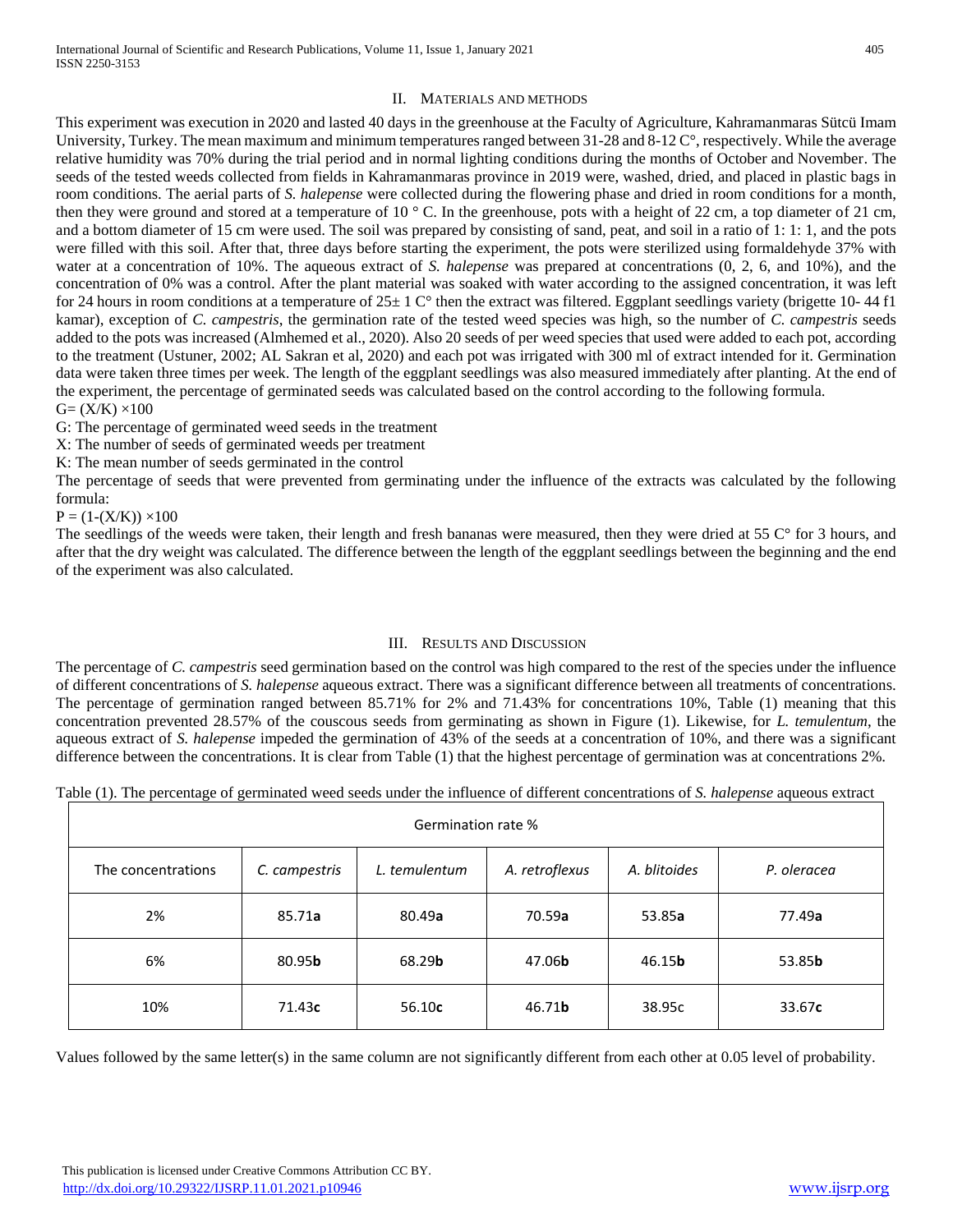## II. MATERIALS AND METHODS

This experiment was execution in 2020 and lasted 40 days in the greenhouse at the Faculty of Agriculture, Kahramanmaras Sütcü Imam University, Turkey. The mean maximum and minimum temperatures ranged between 31-28 and 8-12 C°, respectively. While the average relative humidity was 70% during the trial period and in normal lighting conditions during the months of October and November. The seeds of the tested weeds collected from fields in Kahramanmaras province in 2019 were, washed, dried, and placed in plastic bags in room conditions. The aerial parts of *S. halepense* were collected during the flowering phase and dried in room conditions for a month, then they were ground and stored at a temperature of 10  $\degree$  C. In the greenhouse, pots with a height of 22 cm, a top diameter of 21 cm, and a bottom diameter of 15 cm were used. The soil was prepared by consisting of sand, peat, and soil in a ratio of 1: 1: 1, and the pots were filled with this soil. After that, three days before starting the experiment, the pots were sterilized using formaldehyde 37% with water at a concentration of 10%. The aqueous extract of *S. halepense* was prepared at concentrations (0, 2, 6, and 10%), and the concentration of 0% was a control. After the plant material was soaked with water according to the assigned concentration, it was left for 24 hours in room conditions at a temperature of  $25 \pm 1$  C° then the extract was filtered. Eggplant seedlings variety (brigette 10-44 f1) kamar), exception of *C. campestris*, the germination rate of the tested weed species was high, so the number of *C. campestris* seeds added to the pots was increased (Almhemed et al., 2020). Also 20 seeds of per weed species that used were added to each pot, according to the treatment (Ustuner, 2002; AL Sakran et al, 2020) and each pot was irrigated with 300 ml of extract intended for it. Germination data were taken three times per week. The length of the eggplant seedlings was also measured immediately after planting. At the end of the experiment, the percentage of germinated seeds was calculated based on the control according to the following formula.  $G=(X/K)\times 100$ 

G: The percentage of germinated weed seeds in the treatment

X: The number of seeds of germinated weeds per treatment

K: The mean number of seeds germinated in the control

The percentage of seeds that were prevented from germinating under the influence of the extracts was calculated by the following formula:

 $P = (1-(X/K)) \times 100$ 

The seedlings of the weeds were taken, their length and fresh bananas were measured, then they were dried at 55  $\degree$  for 3 hours, and after that the dry weight was calculated. The difference between the length of the eggplant seedlings between the beginning and the end of the experiment was also calculated.

## III. RESULTS AND DISCUSSION

The percentage of *C. campestris* seed germination based on the control was high compared to the rest of the species under the influence of different concentrations of *S. halepense* aqueous extract. There was a significant difference between all treatments of concentrations. The percentage of germination ranged between 85.71% for 2% and 71.43% for concentrations 10%, Table (1) meaning that this concentration prevented 28.57% of the couscous seeds from germinating as shown in Figure (1). Likewise, for *L. temulentum*, the aqueous extract of *S. halepense* impeded the germination of 43% of the seeds at a concentration of 10%, and there was a significant difference between the concentrations. It is clear from Table (1) that the highest percentage of germination was at concentrations 2%.

Table (1). The percentage of germinated weed seeds under the influence of different concentrations of *S. halepense* aqueous extract

| Germination rate % |                |                                 |                |                |                |  |  |  |
|--------------------|----------------|---------------------------------|----------------|----------------|----------------|--|--|--|
| The concentrations | C. campestris  | A. retroflexus<br>L. temulentum |                | A. blitoides   | P. oleracea    |  |  |  |
| 2%                 | 85.71a         | 80.49a<br>70.59a                |                | 53.85a         | 77.49a         |  |  |  |
| 6%                 | 80.95 <b>b</b> | 68.29 <b>b</b>                  | 47.06 <b>b</b> | 46.15 <b>b</b> | 53.85 <b>b</b> |  |  |  |
| 10%                | 71.43c         | 56.10c                          | 46.71 <b>b</b> | 38.95c         | 33.67c         |  |  |  |

Values followed by the same letter(s) in the same column are not significantly different from each other at 0.05 level of probability.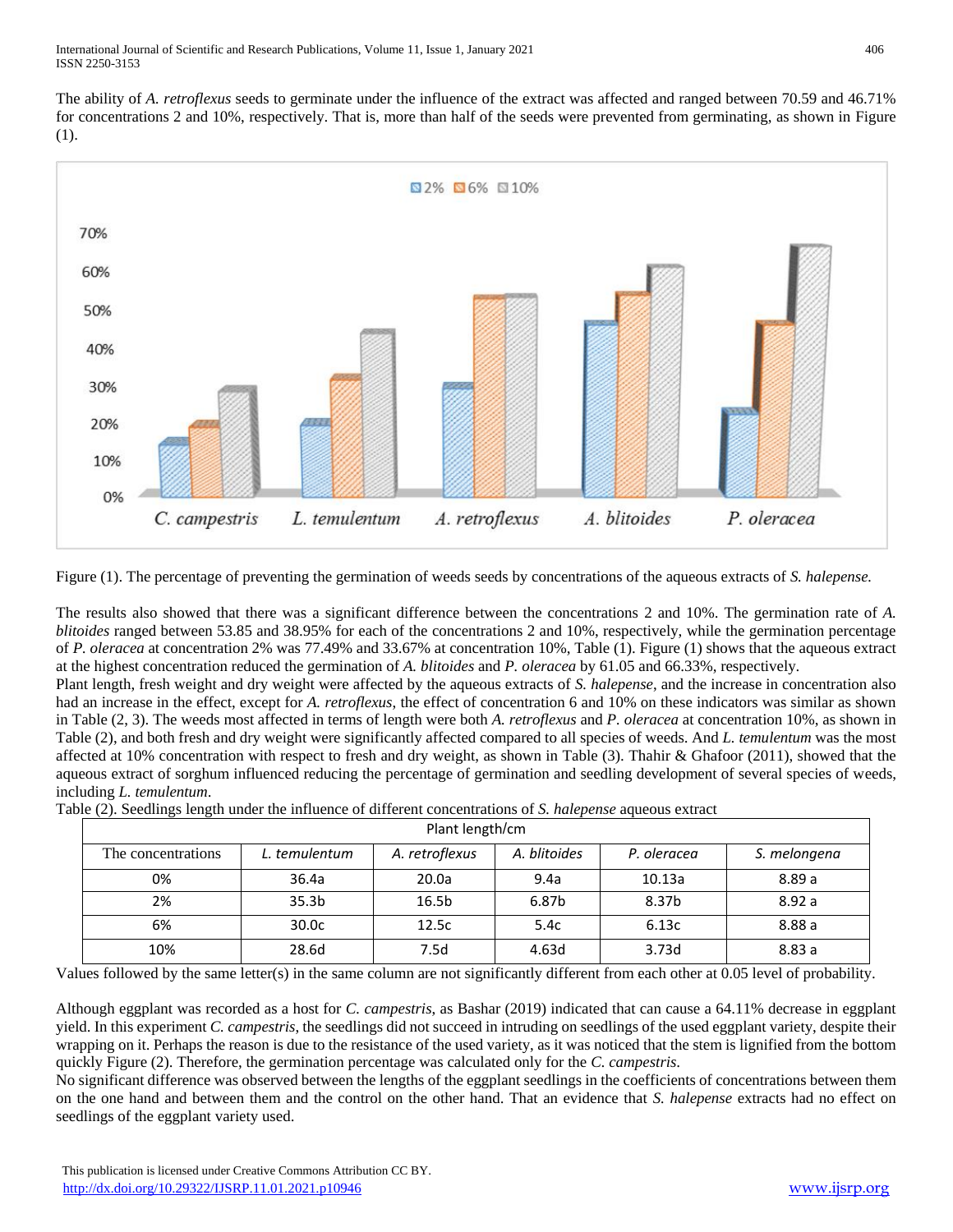The ability of *A. retroflexus* seeds to germinate under the influence of the extract was affected and ranged between 70.59 and 46.71% for concentrations 2 and 10%, respectively. That is, more than half of the seeds were prevented from germinating, as shown in Figure (1).



Figure (1). The percentage of preventing the germination of weeds seeds by concentrations of the aqueous extracts of *S. halepense.*

The results also showed that there was a significant difference between the concentrations 2 and 10%. The germination rate of *A. blitoides* ranged between 53.85 and 38.95% for each of the concentrations 2 and 10%, respectively, while the germination percentage of *P. oleracea* at concentration 2% was 77.49% and 33.67% at concentration 10%, Table (1). Figure (1) shows that the aqueous extract at the highest concentration reduced the germination of *A. blitoides* and *P. oleracea* by 61.05 and 66.33%, respectively.

Plant length, fresh weight and dry weight were affected by the aqueous extracts of *S. halepense*, and the increase in concentration also had an increase in the effect, except for *A. retroflexus*, the effect of concentration 6 and 10% on these indicators was similar as shown in Table (2, 3). The weeds most affected in terms of length were both *A. retroflexus* and *P. oleracea* at concentration 10%, as shown in Table (2), and both fresh and dry weight were significantly affected compared to all species of weeds. And *L. temulentum* was the most affected at 10% concentration with respect to fresh and dry weight, as shown in Table (3). Thahir & Ghafoor (2011), showed that the aqueous extract of sorghum influenced reducing the percentage of germination and seedling development of several species of weeds, including *L. temulentum*.

| en (=), secondly reagan ander are mineeire or anterent concentrations or strategies algeboas entrare |                   |                   |              |             |              |  |  |  |  |
|------------------------------------------------------------------------------------------------------|-------------------|-------------------|--------------|-------------|--------------|--|--|--|--|
|                                                                                                      | Plant length/cm   |                   |              |             |              |  |  |  |  |
| The concentrations                                                                                   | L. temulentum     | A. retroflexus    | A. blitoides | P. oleracea | S. melongena |  |  |  |  |
| 0%                                                                                                   | 36.4a             | 20.0a             | 9.4a         | 10.13a      | 8.89a        |  |  |  |  |
| 2%                                                                                                   | 35.3 <sub>b</sub> | 16.5 <sub>b</sub> | 6.87b        | 8.37b       | 8.92a        |  |  |  |  |
| 6%                                                                                                   | 30.0 <sub>c</sub> | 12.5c             | 5.4c         | 6.13c       | 8.88a        |  |  |  |  |
| 10%                                                                                                  | 28.6d             | 7.5d              | 4.63d        | 3.73d       | 8.83a        |  |  |  |  |

Table (2). Seedlings length under the influence of different concentrations of *S. halepense* aqueous extract

Values followed by the same letter(s) in the same column are not significantly different from each other at 0.05 level of probability.

Although eggplant was recorded as a host for *C. campestris*, as Bashar (2019) indicated that can cause a 64.11% decrease in eggplant yield. In this experiment *C. campestris*, the seedlings did not succeed in intruding on seedlings of the used eggplant variety, despite their wrapping on it. Perhaps the reason is due to the resistance of the used variety, as it was noticed that the stem is lignified from the bottom quickly Figure (2). Therefore, the germination percentage was calculated only for the *C. campestris*.

No significant difference was observed between the lengths of the eggplant seedlings in the coefficients of concentrations between them on the one hand and between them and the control on the other hand. That an evidence that *S. halepense* extracts had no effect on seedlings of the eggplant variety used.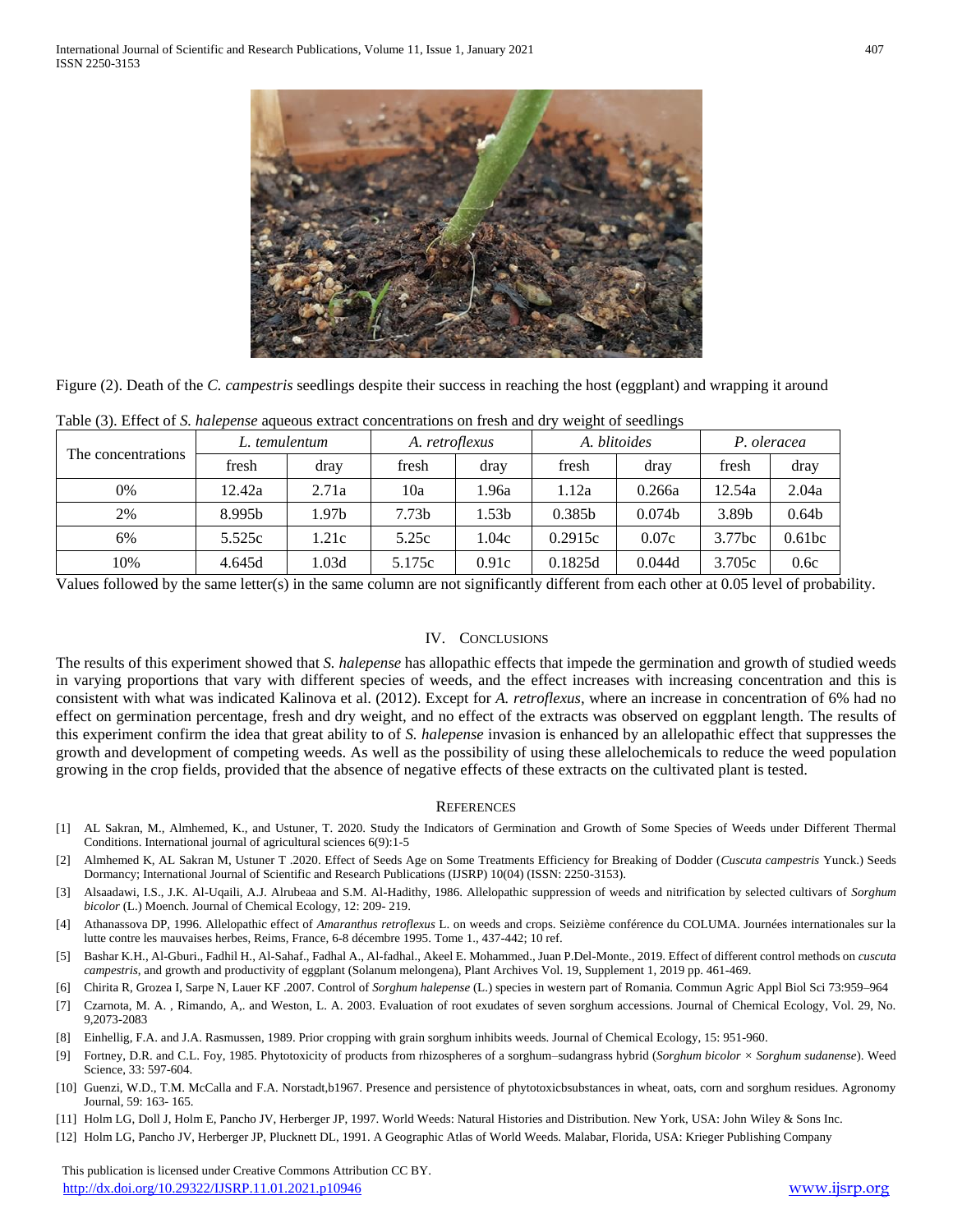

Figure (2). Death of the *C. campestris* seedlings despite their success in reaching the host (eggplant) and wrapping it around

| The concentrations | L. temulentum |       | A. retroflexus    |       | A. blitoides       |                    | P. oleracea |                    |
|--------------------|---------------|-------|-------------------|-------|--------------------|--------------------|-------------|--------------------|
|                    | fresh         | dray  | fresh             | dray  | fresh              | dray               | fresh       | dray               |
| 0%                 | 12.42a        | 2.71a | 10a               | .96a  | 1.12a              | 0.266a             | 12.54a      | 2.04a              |
| 2%                 | 8.995b        | l.97b | 7.73 <sub>b</sub> | l.53b | 0.385 <sub>b</sub> | 0.074 <sub>b</sub> | 3.89b       | 0.64 <sub>b</sub>  |
| 6%                 | 5.525c        | 1.21c | 5.25c             | .04c  | 0.2915c            | 0.07c              | 3.77bc      | 0.61 <sub>bc</sub> |
| 10%                | 4.645d        | 1.03d | 5.175c            | 0.91c | 0.1825d            | 0.044d             | 3.705c      | 0.6c               |

Table (3). Effect of *S. halepense* aqueous extract concentrations on fresh and dry weight of seedlings

Values followed by the same letter(s) in the same column are not significantly different from each other at 0.05 level of probability.

#### IV. CONCLUSIONS

The results of this experiment showed that *S. halepense* has allopathic effects that impede the germination and growth of studied weeds in varying proportions that vary with different species of weeds, and the effect increases with increasing concentration and this is consistent with what was indicated Kalinova et al. (2012). Except for *A. retroflexus*, where an increase in concentration of 6% had no effect on germination percentage, fresh and dry weight, and no effect of the extracts was observed on eggplant length. The results of this experiment confirm the idea that great ability to of *S. halepense* invasion is enhanced by an allelopathic effect that suppresses the growth and development of competing weeds. As well as the possibility of using these allelochemicals to reduce the weed population growing in the crop fields, provided that the absence of negative effects of these extracts on the cultivated plant is tested.

#### **REFERENCES**

- [1] AL Sakran, M., Almhemed, K., and Ustuner, T. 2020. Study the Indicators of Germination and Growth of Some Species of Weeds under Different Thermal Conditions. International journal of agricultural sciences 6(9):1-5
- [2] Almhemed K, AL Sakran M, Ustuner T .2020. Effect of Seeds Age on Some Treatments Efficiency for Breaking of Dodder (*Cuscuta campestris* Yunck.) Seeds Dormancy; International Journal of Scientific and Research Publications (IJSRP) 10(04) (ISSN: 2250-3153).
- [3] Alsaadawi, I.S., J.K. Al-Uqaili, A.J. Alrubeaa and S.M. Al-Hadithy, 1986. Allelopathic suppression of weeds and nitrification by selected cultivars of *Sorghum bicolor* (L.) Moench. Journal of Chemical Ecology, 12: 209- 219.
- [4] Athanassova DP, 1996. Allelopathic effect of *Amaranthus retroflexus* L. on weeds and crops. Seizième conférence du COLUMA. Journées internationales sur la lutte contre les mauvaises herbes, Reims, France, 6-8 décembre 1995. Tome 1., 437-442; 10 ref.
- [5] Bashar K.H., Al-Gburi., Fadhil H., Al-Sahaf., Fadhal A., Al-fadhal., Akeel E. Mohammed., Juan P.Del-Monte., 2019. Effect of different control methods on *cuscuta campestris*, and growth and productivity of eggplant (Solanum melongena), Plant Archives Vol. 19, Supplement 1, 2019 pp. 461-469.
- [6] Chirita R, Grozea I, Sarpe N, Lauer KF .2007. Control of *Sorghum halepense* (L.) species in western part of Romania. Commun Agric Appl Biol Sci 73:959–964
- [7] Czarnota, M. A. , Rimando, A,. and Weston, L. A. 2003. Evaluation of root exudates of seven sorghum accessions. Journal of Chemical Ecology, Vol. 29, No. 9,2073-2083
- [8] Einhellig, F.A. and J.A. Rasmussen, 1989. Prior cropping with grain sorghum inhibits weeds. Journal of Chemical Ecology, 15: 951-960.
- [9] Fortney, D.R. and C.L. Foy, 1985. Phytotoxicity of products from rhizospheres of a sorghum–sudangrass hybrid (*Sorghum bicolor × Sorghum sudanense*). Weed Science, 33: 597-604.
- [10] Guenzi, W.D., T.M. McCalla and F.A. Norstadt,b1967. Presence and persistence of phytotoxicbsubstances in wheat, oats, corn and sorghum residues. Agronomy Journal, 59: 163- 165.
- [11] Holm LG, Doll J, Holm E, Pancho JV, Herberger JP, 1997. World Weeds: Natural Histories and Distribution. New York, USA: John Wiley & Sons Inc.
- [12] Holm LG, Pancho JV, Herberger JP, Plucknett DL, 1991. A Geographic Atlas of World Weeds. Malabar, Florida, USA: Krieger Publishing Company